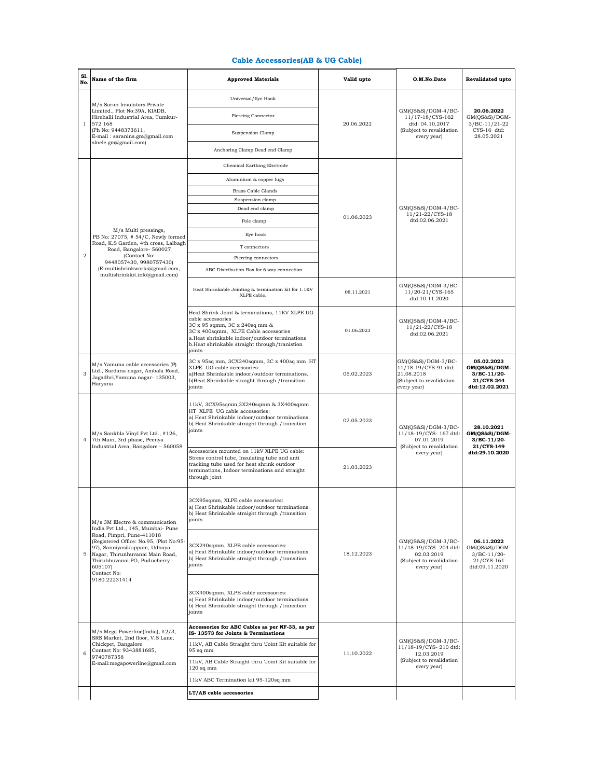## **Cable Accessories(AB & UG Cable)**

| Sl.<br>No.     | Name of the firm                                                                                                                                                                                                                                                                            | <b>Approved Materials</b>                                                                                                                                                                                                                                | Valid upto | O.M.No.Date                                                                                            | Revalidated upto                                                               |
|----------------|---------------------------------------------------------------------------------------------------------------------------------------------------------------------------------------------------------------------------------------------------------------------------------------------|----------------------------------------------------------------------------------------------------------------------------------------------------------------------------------------------------------------------------------------------------------|------------|--------------------------------------------------------------------------------------------------------|--------------------------------------------------------------------------------|
| $\mathbf{1}$   | M/s Saran Insulators Private<br>Limited., Plot No:39A, KIADB,<br>Hirehalli Industrial Area, Tumkur-<br>572 168<br>(Ph No: 9448373611,<br>E-mail: saranins.gm@gmail.com<br>slnele.gm@gmail.com)                                                                                              | Universal/Eye Hook                                                                                                                                                                                                                                       | 20.06.2022 | $GM(QS&S)/DGM-4/BC-$<br>11/17-18/CYS-162<br>dtd: 04.10.2017<br>(Subject to revalidation<br>every year) | 20.06.2022<br>$GM(QS&S)/DGM-$<br>$3/BC-11/21-22$<br>CYS-16 dtd:<br>28.05.2021  |
|                |                                                                                                                                                                                                                                                                                             | Piercing Connector                                                                                                                                                                                                                                       |            |                                                                                                        |                                                                                |
|                |                                                                                                                                                                                                                                                                                             | Suspension Clamp                                                                                                                                                                                                                                         |            |                                                                                                        |                                                                                |
|                |                                                                                                                                                                                                                                                                                             | Anchoring Clamp Dead end Clamp                                                                                                                                                                                                                           |            |                                                                                                        |                                                                                |
|                | M/s Multi pressings,                                                                                                                                                                                                                                                                        | <b>Chemical Earthing Electrode</b>                                                                                                                                                                                                                       | 01.06.2023 | GM(QS&S)/DGM-4/BC-<br>$11/21 - 22/CYS - 18$<br>dtd:02.06.2021                                          |                                                                                |
|                |                                                                                                                                                                                                                                                                                             | Aluminium & copper lugs                                                                                                                                                                                                                                  |            |                                                                                                        |                                                                                |
|                |                                                                                                                                                                                                                                                                                             | <b>Brass Cable Glands</b>                                                                                                                                                                                                                                |            |                                                                                                        |                                                                                |
|                |                                                                                                                                                                                                                                                                                             | Suspension clamp                                                                                                                                                                                                                                         |            |                                                                                                        |                                                                                |
|                |                                                                                                                                                                                                                                                                                             | Dead end clamp                                                                                                                                                                                                                                           |            |                                                                                                        |                                                                                |
|                |                                                                                                                                                                                                                                                                                             | Pole clamp                                                                                                                                                                                                                                               |            |                                                                                                        |                                                                                |
|                | PB No: 27075, #54/C, Newly formed<br>Road, K.S Garden, 4th cross, Lalbagh                                                                                                                                                                                                                   | Eye hook                                                                                                                                                                                                                                                 |            |                                                                                                        |                                                                                |
| $\overline{2}$ | Road, Bangalore- 560027<br>(Contact No:                                                                                                                                                                                                                                                     | T connectors                                                                                                                                                                                                                                             |            |                                                                                                        |                                                                                |
|                | 9448057430, 9980757430)<br>(E-multishrinkworks@gmail.com,                                                                                                                                                                                                                                   | Piercing connectors                                                                                                                                                                                                                                      |            |                                                                                                        |                                                                                |
|                | multishrinkkit.info@gmail.com)                                                                                                                                                                                                                                                              | ABC Distribution Box for 6 way connection                                                                                                                                                                                                                |            |                                                                                                        |                                                                                |
|                |                                                                                                                                                                                                                                                                                             | Heat Shrinkable Jointing & termination kit for 1.1KV<br>XLPE cable.                                                                                                                                                                                      | 08.11.2021 | GM(QS&S)/DGM-3/BC-<br>11/20-21/CYS-165<br>dtd:10.11.2020                                               |                                                                                |
|                |                                                                                                                                                                                                                                                                                             | Heat Shrink Joint & terminations, 11KV XLPE UG<br>cable accessories<br>3C x 95 sqmm, 3C x 240sq mm &<br>3C x 400sqmm, XLPE Cable accessories<br>a.Heat shrinkable indoor/outdoor terminations<br>b.Heat shrinkable straight through/tranistion<br>joints | 01.06.2023 | GM(QS&S)/DGM-4/BC-<br>11/21-22/CYS-18<br>dtd:02.06.2021                                                |                                                                                |
| 3              | M/s Yamuna cable accessories (P)<br>Ltd., Sardana nagar, Ambala Road,<br>Jagadhri, Yamuna nagar- 135003,<br>Haryana                                                                                                                                                                         | 3C x 95sq mm, 3CX240sqmm, 3C x 400sq mm HT<br>XLPE UG cable accessories:<br>a)Heat Shrinkable indoor/outdoor terminations.<br>b)Heat Shrinkable straight through /transition<br>joints                                                                   | 05.02.2023 | GM(QS&S)/DGM-3/BC-<br>11/18-19/CYS-91 dtd:<br>21.08.2018<br>(Subject to revalidation<br>every year)    | 05.02.2023<br>GM(QS&S)/DGM-<br>$3/BC-11/20-$<br>21/CYS-244<br>dtd:12.02.2021   |
| $\overline{4}$ | M/s Sankhla Vinyl Pvt Ltd., #126,<br>7th Main, 3rd phase, Peenya<br>Industrial Area, Bangalore - 560058                                                                                                                                                                                     | 11kV, 3CX95sqmm, 3X240sqmm & 3X400sqmm<br>HT XLPE UG cable accessories:<br>a) Heat Shrinkable indoor/outdoor terminations.<br>b) Heat Shrinkable straight through / transition<br>joints                                                                 | 02.05.2023 | GM(QS&S)/DGM-3/BC-<br>11/18-19/CYS- 167 dtd:<br>07.01.2019<br>(Subject to revalidation                 | 28.10.2021<br>GM(QS&S)/DGM-<br>$3/BC-11/20-$<br>21/CYS-149                     |
|                |                                                                                                                                                                                                                                                                                             | Accessories mounted on 11kV XLPE UG cable:<br>Stress control tube, Insulating tube and anti-<br>tracking tube used for heat shrink outdoor<br>terminations, Indoor terminations and straight<br>through joint                                            | 21.03.2023 | every year)                                                                                            | dtd:29.10.2020                                                                 |
| 5              | M/s 3M Electro & communication<br>India Pvt Ltd., 145, Mumbai- Pune<br>Road, Pimpri, Pune-411018<br>(Registered Office: No.95, (Plot No:95-<br>97), Sanniyasikuppam, Udhaya<br>Nagar, Thirunhuvanai Main Road,<br>Thirubhuvanai PO, Puducherry -<br>605107)<br>Contact No:<br>9180 22231414 | 3CX95sqmm, XLPE cable accessories:<br>a) Heat Shrinkable indoor/outdoor terminations.<br>b) Heat Shrinkable straight through /transition<br>joints                                                                                                       | 18.12.2023 | GM(QS&S)/DGM-3/BC-<br>11/18-19/CYS-204 dtd:<br>02.03.2019<br>(Subject to revalidation<br>every year)   |                                                                                |
|                |                                                                                                                                                                                                                                                                                             | 3CX240sqmm, XLPE cable accessories:<br>a) Heat Shrinkable indoor/outdoor terminations.<br>b) Heat Shrinkable straight through / transition<br>joints                                                                                                     |            |                                                                                                        | 06.11.2022<br>$GM(QS&S)/DGM-$<br>$3/BC-11/20-$<br>21/CYS-161<br>dtd:09.11.2020 |
|                |                                                                                                                                                                                                                                                                                             | 3CX400sqmm, XLPE cable accessories:<br>a) Heat Shrinkable indoor/outdoor terminations.<br>b) Heat Shrinkable straight through / transition<br>joints                                                                                                     |            |                                                                                                        |                                                                                |
| 6              | M/s Mega Powerline(India), #2/3,<br>SRS Market, 2nd floor, V.S Lane,<br>Chickpet, Bangalore<br>Contact No: 9343881685,<br>9740787358<br>E-mail:megapowerline@gmail.com                                                                                                                      | Accessories for ABC Cables as per NF-33, as per<br>IS-13573 for Joints & Terminations                                                                                                                                                                    | 11.10.2022 | GM(QS&S)/DGM-3/BC-<br>11/18-19/CYS-210 dtd:<br>12.03.2019<br>(Subject to revalidation<br>every year)   |                                                                                |
|                |                                                                                                                                                                                                                                                                                             | 11kV, AB Cable Straight thru 'Joint Kit suitable for<br>$95$ sq mm                                                                                                                                                                                       |            |                                                                                                        |                                                                                |
|                |                                                                                                                                                                                                                                                                                             | 11kV, AB Cable Straight thru 'Joint Kit suitable for<br>$120$ sq mm                                                                                                                                                                                      |            |                                                                                                        |                                                                                |
|                |                                                                                                                                                                                                                                                                                             | 11kV ABC Termination kit 95-120sq mm                                                                                                                                                                                                                     |            |                                                                                                        |                                                                                |
|                |                                                                                                                                                                                                                                                                                             | LT/AB cable accessories                                                                                                                                                                                                                                  |            |                                                                                                        |                                                                                |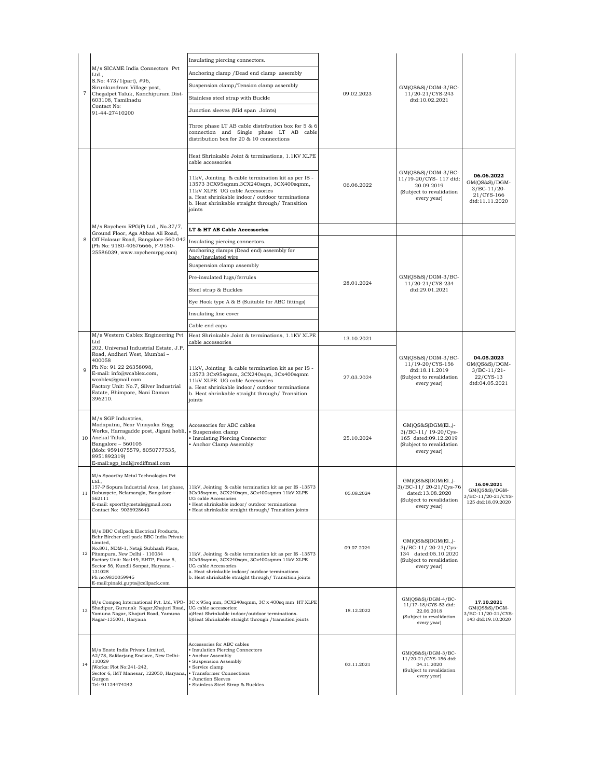|                | M/s SICAME India Connectors Pvt<br>Ltd.,<br>S.No: 473/1(part), #96,<br>Sirunkundram Village post,<br>Chegalpet Taluk, Kanchipuram Dist-<br>603108, Tamilnadu<br>Contact No:<br>91-44-27410200                                                                                                                              | Insulating piercing connectors.                                                                                                                                                                                                                                                    | 09.02.2023 | $GM(QS&S)/DGM-3/BC-$<br>11/20-21/CYS-243<br>dtd:10.02.2021                                                       |                                                                              |
|----------------|----------------------------------------------------------------------------------------------------------------------------------------------------------------------------------------------------------------------------------------------------------------------------------------------------------------------------|------------------------------------------------------------------------------------------------------------------------------------------------------------------------------------------------------------------------------------------------------------------------------------|------------|------------------------------------------------------------------------------------------------------------------|------------------------------------------------------------------------------|
| $\overline{7}$ |                                                                                                                                                                                                                                                                                                                            | Anchoring clamp / Dead end clamp assembly                                                                                                                                                                                                                                          |            |                                                                                                                  |                                                                              |
|                |                                                                                                                                                                                                                                                                                                                            | Suspension clamp/Tension clamp assembly                                                                                                                                                                                                                                            |            |                                                                                                                  |                                                                              |
|                |                                                                                                                                                                                                                                                                                                                            | Stainless steel strap with Buckle                                                                                                                                                                                                                                                  |            |                                                                                                                  |                                                                              |
|                |                                                                                                                                                                                                                                                                                                                            | Junction sleeves (Mid span Joints)                                                                                                                                                                                                                                                 |            |                                                                                                                  |                                                                              |
|                |                                                                                                                                                                                                                                                                                                                            | Three phase LT AB cable distribution box for 5 & 6<br>connection and Single phase LT AB cable<br>distribution box for 20 & 10 connections                                                                                                                                          |            |                                                                                                                  |                                                                              |
|                | M/s Raychem RPG(P) Ltd., No.37/7,<br>Ground Floor, Aga Abbas Ali Road,<br>Off Halasur Road, Bangalore-560 042                                                                                                                                                                                                              | Heat Shrinkable Joint & terminations, 1.1KV XLPE<br>cable accessories                                                                                                                                                                                                              | 06.06.2022 | $GM(QS&S)/DGM-3/BC-$<br>11/19-20/CYS- 117 dtd:<br>20.09.2019<br>(Subject to revalidation<br>every year)          |                                                                              |
|                |                                                                                                                                                                                                                                                                                                                            | 11kV, Jointing & cable termination kit as per IS -<br>13573 3CX95sqmm, 3CX240sqm, 3CX400sqmm,<br>11kV XLPE UG cable Accessories<br>a. Heat shrinkable indoor/ outdoor terminations<br>b. Heat shrinkable straight through/ Transition<br>joints                                    |            |                                                                                                                  | 06.06.2022<br>GM(QS&S)/DGM-<br>$3/BC-11/20-$<br>21/CYS-166<br>dtd:11.11.2020 |
|                |                                                                                                                                                                                                                                                                                                                            | LT & HT AB Cable Accessories                                                                                                                                                                                                                                                       |            |                                                                                                                  |                                                                              |
| 8              |                                                                                                                                                                                                                                                                                                                            | Insulating piercing connectors.                                                                                                                                                                                                                                                    |            |                                                                                                                  |                                                                              |
|                | (Ph No: 9180-40676666, F-9180-<br>25586039, www.raychemrpg.com)                                                                                                                                                                                                                                                            | Anchoring clamps (Dead end) assembly for<br>bare/insulated wire                                                                                                                                                                                                                    |            |                                                                                                                  |                                                                              |
|                |                                                                                                                                                                                                                                                                                                                            | Suspension clamp assembly                                                                                                                                                                                                                                                          |            |                                                                                                                  |                                                                              |
|                |                                                                                                                                                                                                                                                                                                                            | Pre-insulated lugs/ferrules                                                                                                                                                                                                                                                        |            | GM(QS&S)/DGM-3/BC-                                                                                               |                                                                              |
|                |                                                                                                                                                                                                                                                                                                                            | Steel strap & Buckles                                                                                                                                                                                                                                                              | 28.01.2024 | 11/20-21/CYS-234<br>dtd:29.01.2021                                                                               |                                                                              |
|                |                                                                                                                                                                                                                                                                                                                            | Eye Hook type A & B (Suitable for ABC fittings)                                                                                                                                                                                                                                    |            |                                                                                                                  |                                                                              |
|                |                                                                                                                                                                                                                                                                                                                            | Insulating line cover                                                                                                                                                                                                                                                              |            |                                                                                                                  |                                                                              |
|                |                                                                                                                                                                                                                                                                                                                            | Cable end caps                                                                                                                                                                                                                                                                     |            |                                                                                                                  |                                                                              |
|                | M/s Western Cablex Engineering Pvt<br>Ltd                                                                                                                                                                                                                                                                                  | Heat Shrinkable Joint & terminations, 1.1KV XLPE<br>cable accessories                                                                                                                                                                                                              | 13.10.2021 |                                                                                                                  |                                                                              |
| 9              | 202, Universal Industrial Estate, J.P.<br>Road, Andheri West, Mumbai -<br>400058<br>Ph No: 91 22 26358098,<br>E-mail: info@wcablex.com,<br>wcablex@gmail.com<br>Factory Unit: No.7, Silver Industrial<br>Estate, Bhimpore, Nani Daman<br>396210.                                                                           | 11kV, Jointing & cable termination kit as per IS -<br>13573 3Cx95sqmm, 3CX240sqm, 3Cx400sqmm<br>11kV XLPE UG cable Accessories<br>a. Heat shrinkable indoor/ outdoor terminations<br>b. Heat shrinkable straight through/ Transition<br>joints                                     | 27.03.2024 | GM(QS&S)/DGM-3/BC-<br>11/19-20/CYS-156<br>dtd:18.11.2019<br>(Subject to revalidation<br>every year)              | 04.05.2023<br>GM(QS&S)/DGM-<br>$3/BC-11/21-$<br>22/CYS-13<br>dtd:04.05.2021  |
|                | M/s SGP Industries,<br>Madapatna, Near Vinayaka Engg<br>Works, Harragadde post, Jigani hobli,<br>10 Anekal Taluk,<br>Bangalore - 560105<br>(Mob: 9591075579, 8050777535,<br>8951892319)<br>E-mail:sgp indl@rediffmail.com                                                                                                  | Accessories for ABC cables<br>• Suspension clamp<br>· Insulating Piercing Connector<br>Anchor Clamp Assembly                                                                                                                                                                       | 25.10.2024 | $GM(QS&S)DGM(E1.,)-$<br>3)/BC-11/ 19-20/Cys-<br>165 dated:09.12.2019<br>(Subject to revalidation<br>every year)  |                                                                              |
|                | M/s Spoorthy Metal Technologies Pvt<br>Ltd<br>Dabuspete, Nelamangla, Bangalore -<br>562111<br>E-mail: spoorthymetals@gmail.com<br>Contact No: 9036928643                                                                                                                                                                   | 157-P Sopura Industrial Area, 1st phase, 11kV, Jointing & cable termination kit as per IS - 13573<br>3Cx95sqmm, 3CX240sqm, 3Cx400sqmm 11kV XLPE<br>UG cable Accessories<br>· Heat shrinkable indoor/ outdoor terminations<br>· Heat shrinkable straight through/ Transition joints | 05.08.2024 | $GM(QSS & SDGM (El.,)$ -<br>3)/BC-11/20-21/Cys-76<br>dated:13.08.2020<br>(Subject to revalidation<br>every year) | 16.09.2021<br>GM(QS&S)/DGM-<br>3/BC-11/20-21/CYS-<br>125 dtd:18.09.2020      |
|                | M/s BBC Cellpack Electrical Products,<br>Behr Bircher cell pack BBC India Private<br>Limited.<br>No.801, NDM-1, Netaji Subhash Place,<br>12 Pitampura, New Delhi - 110034<br>Factory Unit: No:149, EHTP, Phase 5,<br>Sector 56, Kundli Sonpat, Haryana -<br>131028<br>Ph no:9830059945<br>E-mail:pinaki.gupta@cellpack.com | 11kV, Jointing & cable termination kit as per IS-13573<br>3Cx95sqmm, 3CX240sqm, 3Cx400sqmm 11kV XLPE<br>UG cable Accessories<br>a. Heat shrinkable indoor/outdoor terminations<br>b. Heat shrinkable straight through/ Transition joints                                           | 09.07.2024 | GM(QS&S)DGM(El.,)-<br>3)/BC-11/20-21/Cys-<br>134 dated:05.10.2020<br>(Subject to revalidation<br>every year)     |                                                                              |
| 13             | M/s Compaq International Pvt. Ltd, VPO-<br>Shadipur, Gurunak Nagar, Khajuri Road,<br>Yamuna Nagar, Khajuri Road, Yamuna<br>Nagar-135001, Haryana                                                                                                                                                                           | 3C x 95sq mm, 3CX240sqmm, 3C x 400sq mm HT XLPE<br>UG cable accessories:<br>a)Heat Shrinkable indoor/outdoor terminations.<br>b)Heat Shrinkable straight through /transition joints                                                                                                | 18.12.2022 | GM(QS&S)/DGM-4/BC-<br>11/17-18/CYS-53 dtd:<br>22.06.2018<br>(Subject to revalidation<br>every year)              | 17.10.2021<br>GM(QS&S)/DGM-<br>3/BC-11/20-21/CYS-<br>143 dtd:19.10.2020      |
| 14             | M/s Ensto India Private Limited,<br>A2/78, Safdarjang Enclave, New Delhi-<br>110029<br>(Works: Plot No:241-242,<br>Sector 6, IMT Manesar, 122050, Haryana,<br>Gurgon<br>Tel: 91124474242                                                                                                                                   | Accessories for ABC cables<br>· Insulation Piercing Connectors<br>Anchor Assembly<br>Suspension Assembly<br>· Service clamp<br>• Transformer Connections<br>Junction Sleeves<br>Stainless Steel Strap & Buckles                                                                    | 03.11.2021 | GM(QS&S)/DGM-3/BC-<br>11/20-21/CYS-156 dtd:<br>04.11.2020<br>(Subject to revalidation<br>every year)             |                                                                              |